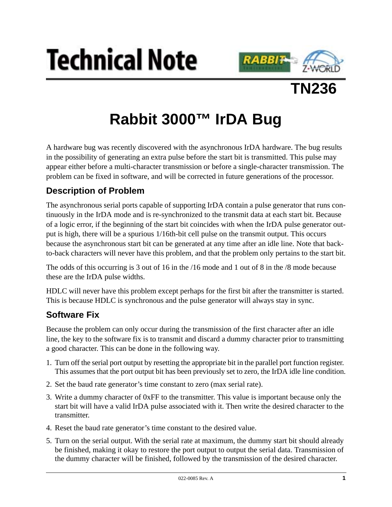





# **Rabbit 3000™ IrDA Bug**

A hardware bug was recently discovered with the asynchronous IrDA hardware. The bug results in the possibility of generating an extra pulse before the start bit is transmitted. This pulse may appear either before a multi-character transmission or before a single-character transmission. The problem can be fixed in software, and will be corrected in future generations of the processor.

## **Description of Problem**

The asynchronous serial ports capable of supporting IrDA contain a pulse generator that runs continuously in the IrDA mode and is re-synchronized to the transmit data at each start bit. Because of a logic error, if the beginning of the start bit coincides with when the IrDA pulse generator output is high, there will be a spurious 1/16th-bit cell pulse on the transmit output. This occurs because the asynchronous start bit can be generated at any time after an idle line. Note that backto-back characters will never have this problem, and that the problem only pertains to the start bit.

The odds of this occurring is 3 out of 16 in the /16 mode and 1 out of 8 in the /8 mode because these are the IrDA pulse widths.

HDLC will never have this problem except perhaps for the first bit after the transmitter is started. This is because HDLC is synchronous and the pulse generator will always stay in sync.

### **Software Fix**

Because the problem can only occur during the transmission of the first character after an idle line, the key to the software fix is to transmit and discard a dummy character prior to transmitting a good character. This can be done in the following way.

- 1. Turn off the serial port output by resetting the appropriate bit in the parallel port function register. This assumes that the port output bit has been previously set to zero, the IrDA idle line condition.
- 2. Set the baud rate generator's time constant to zero (max serial rate).
- 3. Write a dummy character of 0xFF to the transmitter. This value is important because only the start bit will have a valid IrDA pulse associated with it. Then write the desired character to the transmitter.
- 4. Reset the baud rate generator's time constant to the desired value.
- 5. Turn on the serial output. With the serial rate at maximum, the dummy start bit should already be finished, making it okay to restore the port output to output the serial data. Transmission of the dummy character will be finished, followed by the transmission of the desired character.